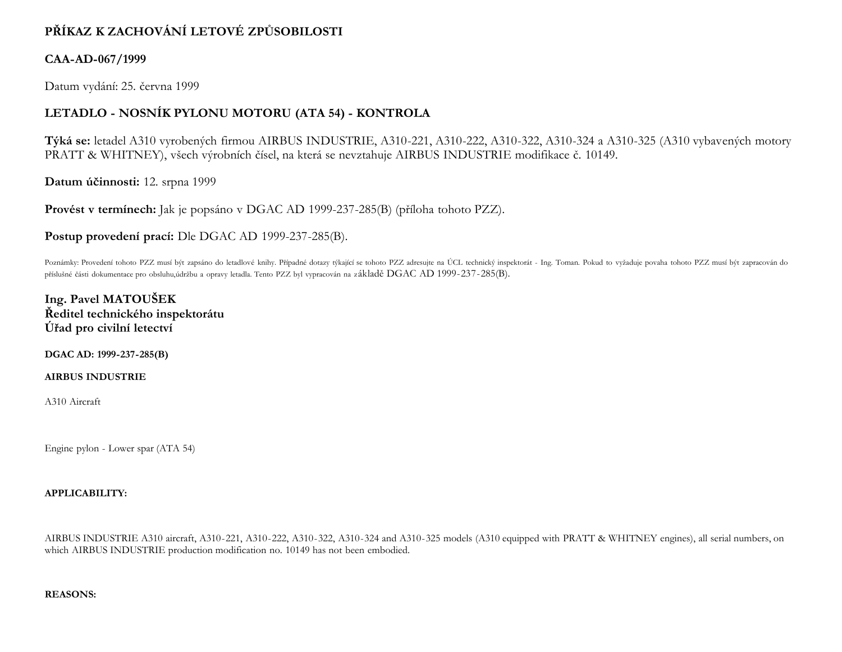# **PŘÍKAZ K ZACHOVÁNÍ LETOVÉ ZPŮSOBILOSTI**

## **CAA-AD-067/1999**

Datum vydání: 25. června 1999

# **LETADLO - NOSNÍK PYLONU MOTORU (ATA 54) - KONTROLA**

**Týká se:** letadel A310 vyrobených firmou AIRBUS INDUSTRIE, A310-221, A310-222, A310-322, A310-324 a A310-325 (A310 vybavených motory PRATT & WHITNEY), všech výrobních čísel, na která se nevztahuje AIRBUS INDUSTRIE modifikace č. 10149.

**Datum účinnosti:** 12. srpna 1999

**Provést v termínech:** Jak je popsáno v DGAC AD 1999-237-285(B) (příloha tohoto PZZ).

**Postup provedení prací:** Dle DGAC AD 1999-237-285(B).

Poznámky: Provedení tohoto PZZ musí být zapsáno do letadlové knihy. Případné dotazy týkající se tohoto PZZ adresujte na ÚCL technický inspektorát - Ing. Toman. Pokud to vyžaduje povaha tohoto PZZ musí být zapracován do příslušné části dokumentace pro obsluhu,údržbu a opravy letadla. Tento PZZ byl vypracován na základě DGAC AD 1999-237-285(B).

**Ing. Pavel MATOUŠEK Ředitel technického inspektorátu Úřad pro civilní letectví**

**DGAC AD: 1999-237-285(B)**

**AIRBUS INDUSTRIE**

A310 Aircraft

Engine pylon - Lower spar (ATA 54)

### **APPLICABILITY:**

AIRBUS INDUSTRIE A310 aircraft, A310-221, A310-222, A310-322, A310-324 and A310-325 models (A310 equipped with PRATT & WHITNEY engines), all serial numbers, on which AIRBUS INDUSTRIE production modification no. 10149 has not been embodied.

#### **REASONS:**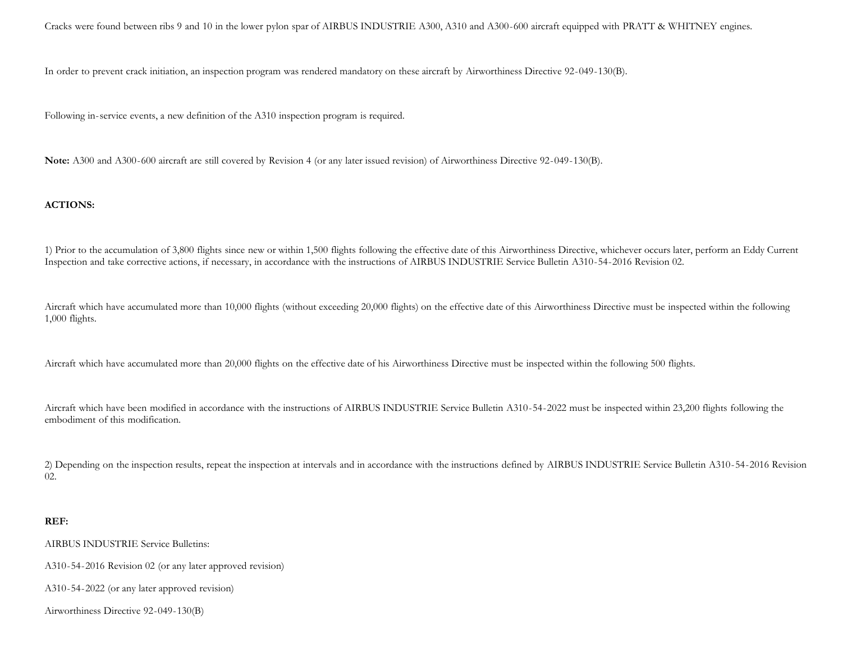Cracks were found between ribs 9 and 10 in the lower pylon spar of AIRBUS INDUSTRIE A300, A310 and A300-600 aircraft equipped with PRATT & WHITNEY engines.

In order to prevent crack initiation, an inspection program was rendered mandatory on these aircraft by Airworthiness Directive 92-049-130(B).

Following in-service events, a new definition of the A310 inspection program is required.

**Note:** A300 and A300-600 aircraft are still covered by Revision 4 (or any later issued revision) of Airworthiness Directive 92-049-130(B).

### **ACTIONS:**

1) Prior to the accumulation of 3,800 flights since new or within 1,500 flights following the effective date of this Airworthiness Directive, whichever occurs later, perform an Eddy Current Inspection and take corrective actions, if necessary, in accordance with the instructions of AIRBUS INDUSTRIE Service Bulletin A310-54-2016 Revision 02.

Aircraft which have accumulated more than 10,000 flights (without exceeding 20,000 flights) on the effective date of this Airworthiness Directive must be inspected within the following 1,000 flights.

Aircraft which have accumulated more than 20,000 flights on the effective date of his Airworthiness Directive must be inspected within the following 500 flights.

Aircraft which have been modified in accordance with the instructions of AIRBUS INDUSTRIE Service Bulletin A310-54-2022 must be inspected within 23,200 flights following the embodiment of this modification.

2) Depending on the inspection results, repeat the inspection at intervals and in accordance with the instructions defined by AIRBUS INDUSTRIE Service Bulletin A310-54-2016 Revision 02.

#### **REF:**

AIRBUS INDUSTRIE Service Bulletins:

A310-54-2016 Revision 02 (or any later approved revision)

A310-54-2022 (or any later approved revision)

Airworthiness Directive 92-049-130(B)